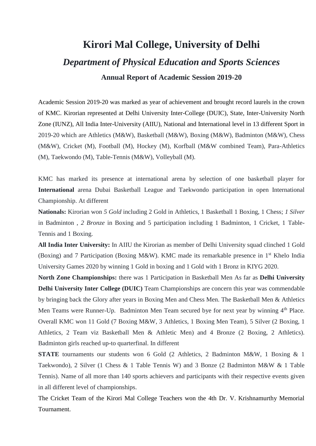# **Kirori Mal College, University of Delhi** *Department of Physical Education and Sports Sciences* **Annual Report of Academic Session 2019-20**

Academic Session 2019-20 was marked as year of achievement and brought record laurels in the crown of KMC. Kirorian represented at Delhi University Inter-College (DUIC), State, Inter-University North Zone (IUNZ), All India Inter-University (AIIU), National and International level in 13 different Sport in 2019-20 which are Athletics (M&W), Basketball (M&W), Boxing (M&W), Badminton (M&W), Chess (M&W), Cricket (M), Football (M), Hockey (M), Korfball (M&W combined Team), Para-Athletics (M), Taekwondo (M), Table-Tennis (M&W), Volleyball (M).

KMC has marked its presence at international arena by selection of one basketball player for **International** arena Dubai Basketball League and Taekwondo participation in open International Championship. At different

**Nationals:** Kirorian won *5 Gold* including 2 Gold in Athletics, 1 Basketball 1 Boxing, 1 Chess; *1 Silver* in Badminton , *2 Bronze* in Boxing and 5 participation including 1 Badminton, 1 Cricket, 1 Table-Tennis and 1 Boxing.

**All India Inter University:** In AIIU the Kirorian as member of Delhi University squad clinched 1 Gold (Boxing) and 7 Participation (Boxing M&W). KMC made its remarkable presence in 1st Khelo India University Games 2020 by winning 1 Gold in boxing and 1 Gold with 1 Bronz in KIYG 2020.

**North Zone Championships:** there was 1 Participation in Basketball Men As far as **Delhi University Delhi University Inter College (DUIC)** Team Championships are concern this year was commendable by bringing back the Glory after years in Boxing Men and Chess Men. The Basketball Men & Athletics Men Teams were Runner-Up. Badminton Men Team secured bye for next year by winning 4<sup>th</sup> Place. Overall KMC won 11 Gold (7 Boxing M&W, 3 Athletics, 1 Boxing Men Team), 5 Silver (2 Boxing, 1 Athletics, 2 Team viz Basketball Men & Athletic Men) and 4 Bronze (2 Boxing, 2 Athletics). Badminton girls reached up-to quarterfinal. In different

**STATE** tournaments our students won 6 Gold (2 Athletics, 2 Badminton M&W, 1 Boxing & 1 Taekwondo), 2 Silver (1 Chess & 1 Table Tennis W) and 3 Bonze (2 Badminton M&W & 1 Table Tennis). Name of all more than 140 sports achievers and participants with their respective events given in all different level of championships.

The Cricket Team of the Kirori Mal College Teachers won the 4th Dr. V. Krishnamurthy Memorial Tournament.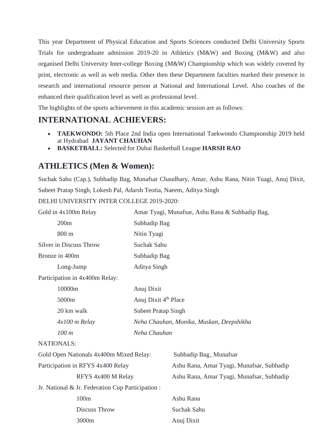This year Department of Physical Education and Sports Sciences conducted Delhi University Sports Trials for undergraduate admission 2019-20 in Athletics (M&W) and Boxing (M&W) and also organised Delhi University Inter-college Boxing (M&W) Championship which was widely covered by print, electronic as well as web media. Other then these Department faculties marked their presence in research and international resource person at National and International Level. Also coaches of the enhanced their qualification level as well as professional level.

The highlights of the sports achievement in this academic session are as follows:

#### **INTERNATIONAL ACHIEVERS:**

- **TAEKWONDO:** 5th Place 2nd India open International Taekwondo Championship 2019 held at Hydrabad **JAYANT CHAUHAN**
- **BASKETBALL:** Selected for Dubai Basketball League **HARSH RAO**

### **ATHLETICS (Men & Women):**

Suchak Sahu (Cap.), Subhadip Bag, Munafsar Chaudhary, Amar, Ashu Rana, Nitin Tuagi, Anuj Dixit, Subeet Pratap Singh, Lokesh Pal, Adarsh Teotia, Naeem, Aditya Singh

DELHI UNIVERSITY INTER COLLEGE 2019-2020:

| Gold in 4x100m Relay           | Amar Tyagi, Munafsar, Ashu Rana & Subhadip Bag, |  |
|--------------------------------|-------------------------------------------------|--|
| 200m                           | Subhadip Bag                                    |  |
| $800 \text{ m}$                | Nitin Tyagi                                     |  |
| <b>Silver in Discuss Throw</b> | Suchak Sahu                                     |  |
| Bronze in 400m                 | Subhadip Bag                                    |  |
| Long-Jump                      | Aditya Singh                                    |  |
|                                |                                                 |  |

Participation in 4x400m Relay:

| 10000m            | Anuj Dixit                               |
|-------------------|------------------------------------------|
| 5000 <sub>m</sub> | Anuj Dixit 4 <sup>th</sup> Place         |
| 20 km walk        | <b>Subeet Pratap Singh</b>               |
| $4x100$ m Relay   | Neha Chauhan, Monika, Muskan, Deepshikha |
| 100 m             | Neha Chauhan                             |

NATIONALS:

| Gold Open Nationals 4x400m Mixed Relay:           | Subhadip Bag, Munafsar                    |
|---------------------------------------------------|-------------------------------------------|
| Participation in RFYS 4x400 Relay                 | Ashu Rana, Amar Tyagi, Munafsar, Subhadip |
| RFYS 4x400 M Relay                                | Ashu Rana, Amar Tyagi, Munafsar, Subhadip |
| Jr. National & Jr. Federation Cup Participation : |                                           |
| 100m                                              | Ashu Rana                                 |
| Discuss Throw                                     | Suchak Sahu                               |
| 3000 <sub>m</sub>                                 | Anuj Dixit                                |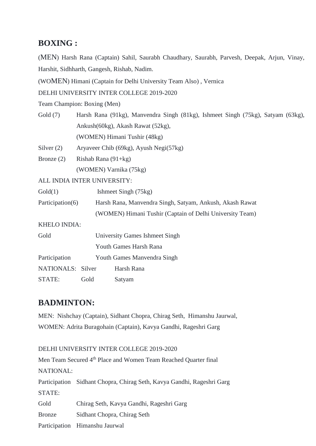#### **BOXING :**

(MEN) Harsh Rana (Captain) Sahil, Saurabh Chaudhary, Saurabh, Parvesh, Deepak, Arjun, Vinay, Harshit, Sidhharth, Gangesh, Rishab, Nadim.

(WOMEN) Himani (Captain for Delhi University Team Also) , Vernica

DELHI UNIVERSITY INTER COLLEGE 2019-2020

Team Champion: Boxing (Men)

Gold (7) Harsh Rana (91kg), Manvendra Singh (81kg), Ishmeet Singh (75kg), Satyam (63kg), Ankush(60kg), Akash Rawat (52kg), (WOMEN) Himani Tushir (48kg)

Silver (2) Aryaveer Chib (69kg), Ayush Negi(57kg)

Bronze (2) Rishab Rana (91+kg) (WOMEN) Varnika (75kg)

ALL INDIA INTER UNIVERSITY:

| Gold(1)          | Ishmeet Singh (75kg)                                     |
|------------------|----------------------------------------------------------|
| Participation(6) | Harsh Rana, Manvendra Singh, Satyam, Ankush, Akash Rawat |
|                  | (WOMEN) Himani Tushir (Captain of Delhi University Team) |

KHELO INDIA:

| Gold              | University Games Ishmeet Singh |            |  |
|-------------------|--------------------------------|------------|--|
|                   | Youth Games Harsh Rana         |            |  |
| Participation     | Youth Games Manvendra Singh    |            |  |
| NATIONALS: Silver |                                | Harsh Rana |  |
| <b>STATE:</b>     | Gold                           | Satyam     |  |

#### **BADMINTON:**

MEN: Nishchay (Captain), Sidhant Chopra, Chirag Seth, Himanshu Jaurwal, WOMEN: Adrita Buragohain (Captain), Kavya Gandhi, Rageshri Garg

## DELHI UNIVERSITY INTER COLLEGE 2019-2020 Men Team Secured 4<sup>th</sup> Place and Women Team Reached Ouarter final NATIONAL: Participation Sidhant Chopra, Chirag Seth, Kavya Gandhi, Rageshri Garg STATE: Gold Chirag Seth, Kavya Gandhi, Rageshri Garg Bronze Sidhant Chopra, Chirag Seth Participation Himanshu Jaurwal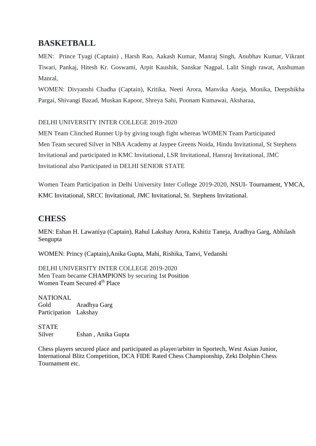#### **BASKETBALL**

MEN: Prince Tyagi (Captain) , Harsh Rao, Aakash Kumar, Manraj Singh, Anubhav Kumar, Vikrant Tiwari, Pankaj, Hitesh Kr. Goswami, Arpit Kaushik, Sanskar Nagpal, Lalit Singh rawat, Anshuman Manral,

WOMEN: Divyanshi Chadha (Captain), Kritika, Neeti Arora, Manvika Aneja, Monika, Deepshikha Pargai, Shivangi Bazad, Muskan Kapoor, Shreya Sahi, Poonam Kumawai, Aksharaa,

#### DELHI UNIVERSITY INTER COLLEGE 2019-2020

MEN Team Clinched Runner Up by giving tough fight whereas WOMEN Team Participated Men Team secured Silver in NBA Academy at Jaypee Greens Noida, Hindu Invitational, St Stephens Invitational and participated in KMC Invitational, LSR Invitational, Hansraj Invitational, JMC Invitational also Participated in DELHI SENIOR STATE

Women Team Participation in Delhi University Inter College 2019-2020, NSUI- Tournament, YMCA, KMC Invitational, SRCC Invitational, JMC Invitational, St. Stephens Invitational.

#### **CHESS**

MEN: Eshan H. Lawaniya (Captain), Rahul Lakshay Arora, Kshitiz Taneja, Aradhya Garg, Abhilash Sengupta

WOMEN: Princy (Captain),Anika Gupta, Mahi, Rishika, Tanvi, Vedanshi

DELHI UNIVERSITY INTER COLLEGE 2019-2020 Men Team became CHAMPIONS by securing 1st Position Women Team Secured 4th Place

**NATIONAL** Gold Aradhya Garg Participation Lakshay

**STATE** Silver Eshan , Anika Gupta

Chess players secured place and participated as player/arbiter in Sportech, West Asian Junior, International Blitz Competition, DCA FIDE Rated Chess Championship, Zeki Dolphin Chess Tournament etc.